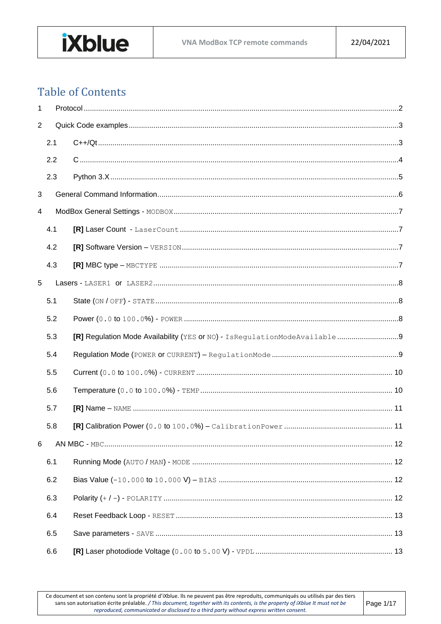

# **Table of Contents**

| 1              |     |  |  |  |
|----------------|-----|--|--|--|
| $\overline{2}$ |     |  |  |  |
|                | 2.1 |  |  |  |
|                | 2.2 |  |  |  |
|                | 2.3 |  |  |  |
| 3              |     |  |  |  |
| 4              |     |  |  |  |
|                | 4.1 |  |  |  |
|                | 4.2 |  |  |  |
|                | 4.3 |  |  |  |
| 5              |     |  |  |  |
|                | 5.1 |  |  |  |
|                | 5.2 |  |  |  |
|                | 5.3 |  |  |  |
|                | 5.4 |  |  |  |
|                | 5.5 |  |  |  |
|                | 5.6 |  |  |  |
|                | 5.7 |  |  |  |
|                | 5.8 |  |  |  |
| 6              |     |  |  |  |
|                | 6.1 |  |  |  |
|                | 6.2 |  |  |  |
|                | 6.3 |  |  |  |
|                | 6.4 |  |  |  |
|                | 6.5 |  |  |  |
|                | 6.6 |  |  |  |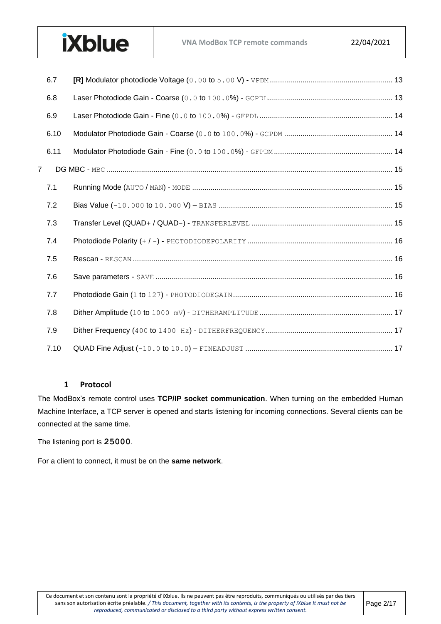#### **VNA ModBox TCP remote commands** 22/04/2021

|   | 6.7  |  |
|---|------|--|
|   | 6.8  |  |
|   | 6.9  |  |
|   | 6.10 |  |
|   | 6.11 |  |
| 7 |      |  |
|   | 7.1  |  |
|   | 7.2  |  |
|   | 7.3  |  |
|   | 7.4  |  |
|   | 7.5  |  |
|   | 7.6  |  |
|   | 7.7  |  |
|   | 7.8  |  |
|   | 7.9  |  |
|   | 7.10 |  |

#### **1 Protocol**

**iXblue** 

<span id="page-1-0"></span>The ModBox's remote control uses **TCP/IP socket communication**. When turning on the embedded Human Machine Interface, a TCP server is opened and starts listening for incoming connections. Several clients can be connected at the same time.

The listening port is **25000**.

For a client to connect, it must be on the **same network**.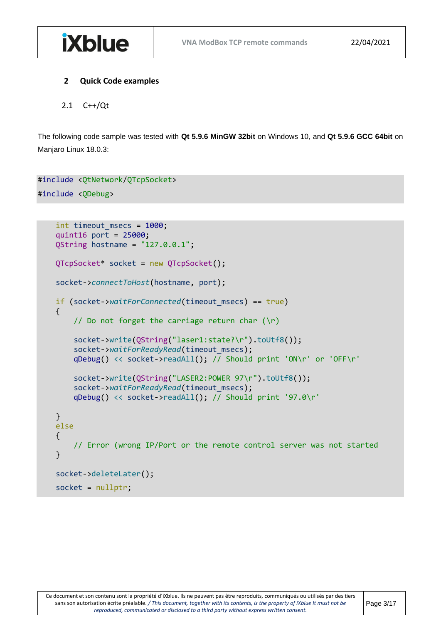#### <span id="page-2-0"></span>**2 Quick Code examples**

#### <span id="page-2-1"></span>2.1 C++/Qt

**iXblue** 

The following code sample was tested with **Qt 5.9.6 MinGW 32bit** on Windows 10, and **Qt 5.9.6 GCC 64bit** on Manjaro Linux 18.0.3:

```
#include <QtNetwork/QTcpSocket>
#include <QDebug>
```

```
int timeout msecs = 1000;
 quint16 port = 25000;
QString hostname = "127.0.0.1";
 QTcpSocket* socket = new QTcpSocket();
 socket->connectToHost(hostname, port);
 if (socket->waitForConnected(timeout_msecs) == true)
 {
    // Do not forget the carriage return char (\n\r)
     socket->write(QString("laser1:state?\r").toUtf8());
     socket->waitForReadyRead(timeout_msecs);
     qDebug() << socket->readAll(); // Should print 'ON\r' or 'OFF\r'
     socket->write(QString("LASER2:POWER 97\r").toUtf8());
     socket->waitForReadyRead(timeout_msecs);
     qDebug() << socket->readAll(); // Should print '97.0\r'
 }
 else
 {
     // Error (wrong IP/Port or the remote control server was not started
 }
 socket->deleteLater();
 socket = nullptr;
```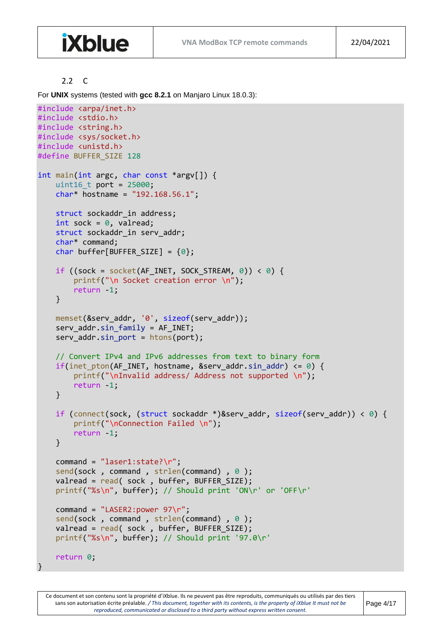#### 2.2 C

**iXblue** 

<span id="page-3-0"></span>For **UNIX** systems (tested with **gcc 8.2.1** on Manjaro Linux 18.0.3):

```
#include <arpa/inet.h>
#include <stdio.h>
#include <string.h>
#include <sys/socket.h>
#include <unistd.h>
#define BUFFER_SIZE 128
int main(int argc, char const *argv[]) { 
    uint16 t port = 25000;
    char* hostname = "192.168.56.1";
    struct sockaddr in address;
    int sock = 0, valread;
    struct sockaddr in serv addr;
     char* command; 
    char buffer[BUFFER_SIZE] = \{\theta\};
    if ((sock = socket(AF_INET, SOCK_STREAM, \theta)) < \theta) {
         printf("\n Socket creation error \n"); 
         return -1; 
     } 
     memset(&serv_addr, '0', sizeof(serv_addr)); 
    serv_addr.sin_family = AF_INET;
    serv addr.\sin port = htons(port);
     // Convert IPv4 and IPv6 addresses from text to binary form 
    if(int\_pton(AF_INET, hostname, 8serv\_addr.sin\_addr) \le 0) {
         printf("\nInvalid address/ Address not supported \n"); 
         return -1; 
     } 
     if (connect(sock, (struct sockaddr *)&serv_addr, sizeof(serv_addr)) < 0) { 
        printf("\nConnection Failed \n");
         return -1; 
     } 
    command = "laser1:state? \r\n";
    send(sock, command, strlen(command), 0);
    valread = read( sock, buffer, BUFFER_SIZE);
     printf("%s\n", buffer); // Should print 'ON\r' or 'OFF\r'
    command = "LASER2: power 97\r";
    send(sock, command, strlen(command), 0);
    valread = read( sock, buffer, BUFFER_SIZE);
     printf("%s\n", buffer); // Should print '97.0\r'
     return 0; 
}
```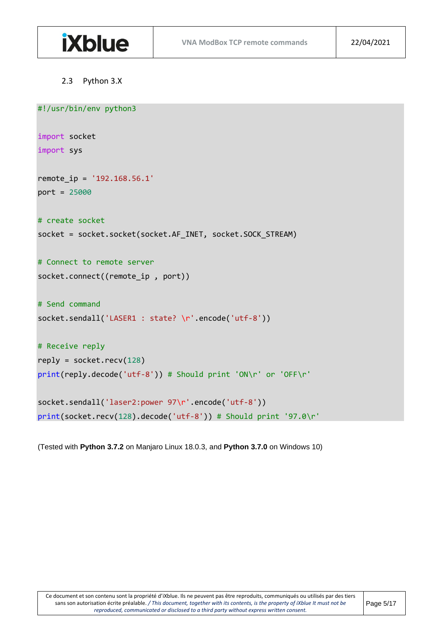

#### <span id="page-4-0"></span>2.3 Python 3.X

```
#!/usr/bin/env python3
```

```
import socket
import sys 
remote_ip = '192.168.56.1'
port = 25000
# create socket
socket = socket.socket(socket.AF_INET, socket.SOCK_STREAM)
# Connect to remote server
socket.connect((remote_ip , port))
# Send command
socket.sendall('LASER1 : state? \r'.encode('utf-8'))
# Receive reply
reply = socket.recv(128)
print(reply.decode('utf-8')) # Should print 'ON\r' or 'OFF\r'
socket.sendall('laser2:power 97\r'.encode('utf-8'))
```

```
print(socket.recv(128).decode('utf-8')) # Should print '97.0\r'
```
(Tested with **Python 3.7.2** on Manjaro Linux 18.0.3, and **Python 3.7.0** on Windows 10)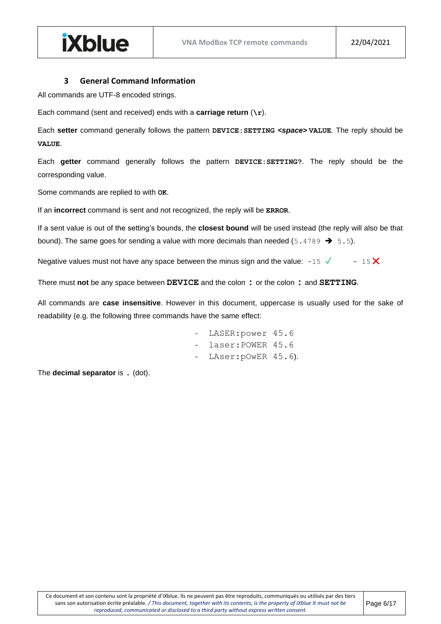#### **3 General Command Information**

<span id="page-5-0"></span>All commands are UTF-8 encoded strings.

**iXblue** 

Each command (sent and received) ends with a **carriage return** (**\r**).

Each **setter** command generally follows the pattern **DEVICE:SETTING** *<space>* **VALUE**. The reply should be **VALUE**.

Each **getter** command generally follows the pattern **DEVICE:SETTING?**. The reply should be the corresponding value.

Some commands are replied to with **OK**.

If an **incorrect** command is sent and not recognized, the reply will be **ERROR**.

If a sent value is out of the setting's bounds, the **closest bound** will be used instead (the reply will also be that bound). The same goes for sending a value with more decimals than needed (5.4789  $\rightarrow$  5.5).

Negative values must not have any space between the minus sign and the value:  $-15\sqrt{ }$  - 15 $\cancel{\text{X}}$ 

There must **not** be any space between **DEVICE** and the colon **:** or the colon **:** and **SETTING**.

All commands are **case insensitive**. However in this document, uppercase is usually used for the sake of readability (e.g. the following three commands have the same effect:

- LASER:power 45.6
- laser: POWER 45.6
- LAser: pOwER 45.6).

The **decimal separator** is . (dot).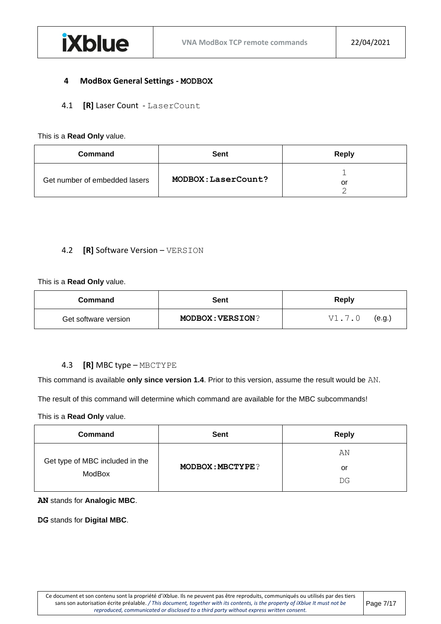#### <span id="page-6-0"></span>**4 ModBox General Settings - MODBOX**

<span id="page-6-1"></span>4.1 **[R]** Laser Count - LaserCount

#### This is a **Read Only** value.

| <b>Command</b>                | Sent                | <b>Reply</b> |
|-------------------------------|---------------------|--------------|
| Get number of embedded lasers | MODBOX: LaserCount? | or           |

#### <span id="page-6-2"></span>4.2 **[R]** Software Version – VERSION

#### This is a **Read Only** value.

| Command              | Sent                    | <b>Reply</b>     |
|----------------------|-------------------------|------------------|
| Get software version | <b>MODBOX: VERSION?</b> | V1.7.0<br>(e.g.) |

#### <span id="page-6-3"></span>4.3 **[R]** MBC type – MBCTYPE

This command is available **only since version 1.4**. Prior to this version, assume the result would be AN.

The result of this command will determine which command are available for the MBC subcommands!

This is a **Read Only** value.

| <b>Command</b>                            | <b>Sent</b>             | <b>Reply</b> |
|-------------------------------------------|-------------------------|--------------|
|                                           |                         | ΆN           |
| Get type of MBC included in the<br>ModBox | <b>MODBOX: MBCTYPE?</b> | or           |
|                                           |                         | DG           |

#### **AN** stands for **Analogic MBC**.

**DG** stands for **Digital MBC**.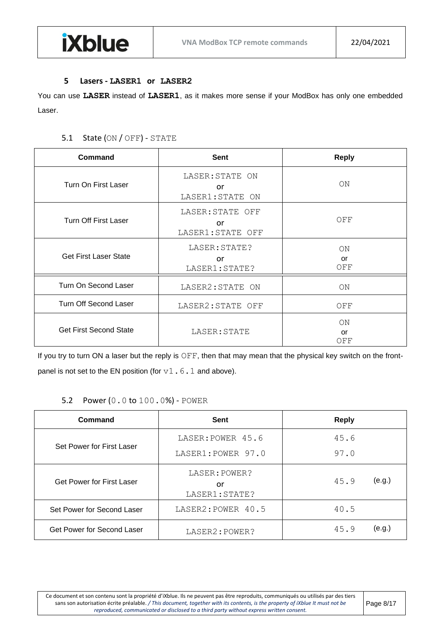#### **5 Lasers - LASER1 or LASER2**

**iXblue** 

<span id="page-7-1"></span><span id="page-7-0"></span>You can use **LASER** instead of **LASER1**, as it makes more sense if your ModBox has only one embedded Laser.

#### 5.1 State (ON / OFF) - STATE

| <b>Command</b>                | Sent                                         | <b>Reply</b>           |
|-------------------------------|----------------------------------------------|------------------------|
| Turn On First Laser           | LASER: STATE ON<br>or<br>LASER1: STATE ON    | <b>ON</b>              |
| <b>Turn Off First Laser</b>   | LASER: STATE OFF<br>or<br>LASER1: STATE OFF  | OFF                    |
| <b>Get First Laser State</b>  | LASER: STATE?<br><b>or</b><br>LASER1: STATE? | <b>ON</b><br>or<br>OFF |
| Turn On Second Laser          | LASER2: STATE ON                             | ON                     |
| <b>Turn Off Second Laser</b>  | LASER2: STATE OFF                            | OFF                    |
| <b>Get First Second State</b> | LASER: STATE                                 | ON<br>or<br>OFF        |

If you try to turn ON a laser but the reply is OFF, then that may mean that the physical key switch on the frontpanel is not set to the EN position (for  $v1.6.1$  and above).

## 5.2 Power (0.0 to 100.0%) - POWER

<span id="page-7-2"></span>

| Command                          | <b>Sent</b>                             | <b>Reply</b>   |
|----------------------------------|-----------------------------------------|----------------|
| Set Power for First Laser        | LASER: POWER 45.6<br>LASER1: POWER 97.0 | 45.6<br>97.0   |
| <b>Get Power for First Laser</b> | LASER: POWER?<br>or<br>LASER1: STATE?   | (e.g.)<br>45.9 |
| Set Power for Second Laser       | LASER2: POWER 40.5                      | 40.5           |
| Get Power for Second Laser       | LASER2: POWER?                          | (e.g.)<br>45.9 |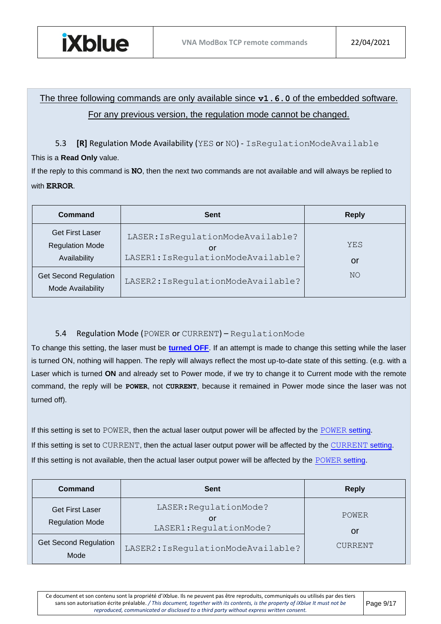

## The three following commands are only available since **v1.6.0** of the embedded software. For any previous version, the regulation mode cannot be changed.

<span id="page-8-0"></span>5.3 **[R]** Regulation Mode Availability (YES or NO) - IsRegulationModeAvailable

## This is a **Read Only** value.

If the reply to this command is **NO**, then the next two commands are not available and will always be replied to with **ERROR**.

| Command                                                          | <b>Sent</b>                                                                   | <b>Reply</b> |
|------------------------------------------------------------------|-------------------------------------------------------------------------------|--------------|
| <b>Get First Laser</b><br><b>Regulation Mode</b><br>Availability | LASER: IsRegulationModeAvailable?<br>or<br>LASER1: IsRegulationModeAvailable? | YES<br>or    |
| <b>Get Second Regulation</b><br>Mode Availability                | LASER2: IsRequlationModeAvailable?                                            | NO.          |

## <span id="page-8-1"></span>5.4 Regulation Mode (POWER or CURRENT) – RegulationMode

To change this setting, the laser must be **[turned OFF](#page-7-1)**. If an attempt is made to change this setting while the laser is turned ON, nothing will happen. The reply will always reflect the most up-to-date state of this setting. (e.g. with a Laser which is turned **ON** and already set to Power mode, if we try to change it to Current mode with the remote command, the reply will be **POWER**, not **CURRENT**, because it remained in Power mode since the laser was not turned off).

If this setting is set to POWER, then the actual laser output power will be affected by the [POWER](#page-7-2) [setting.](#page-7-2) If this setting is set to CURRENT, then the actual laser output power will be affected by the [CURRENT](#page-9-0) [setting.](#page-9-0) If this setting is not available, then the actual laser output power will be affected by the [POWER](#page-7-2) [setting.](#page-7-2)

| Command                                          | <b>Sent</b>                                             | <b>Reply</b> |
|--------------------------------------------------|---------------------------------------------------------|--------------|
| <b>Get First Laser</b><br><b>Regulation Mode</b> | LASER: RegulationMode?<br>or<br>LASER1: RegulationMode? | POWER<br>or  |
| <b>Get Second Regulation</b><br>Mode             | LASER2: IsRegulationModeAvailable?                      | CURRENT      |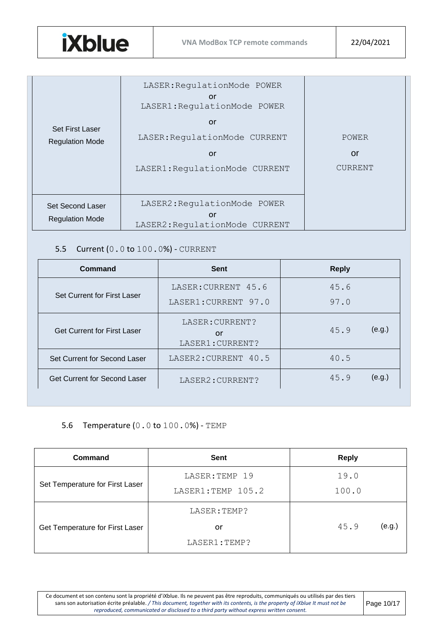

| <b>Set First Laser</b><br><b>Regulation Mode</b> | LASER: RegulationMode POWER<br>or<br>LASER1: RequlationMode POWER<br>or<br>LASER: RegulationMode CURRENT<br>or<br>LASER1: RequlationMode CURRENT | POWER<br>or<br><b>CURRENT</b> |
|--------------------------------------------------|--------------------------------------------------------------------------------------------------------------------------------------------------|-------------------------------|
|                                                  | LASER2: RequlationMode POWER                                                                                                                     |                               |
| Set Second Laser<br><b>Regulation Mode</b>       | or<br>LASER2: RegulationMode CURRENT                                                                                                             |                               |

## <span id="page-9-0"></span>5.5 Current (0.0 to 100.0%) - CURRENT

| Command                             | <b>Sent</b>                               | <b>Reply</b>   |
|-------------------------------------|-------------------------------------------|----------------|
| <b>Set Current for First Laser</b>  | LASER: CURRENT 45.6                       | 45.6           |
|                                     | LASER1: CURRENT 97.0                      | 97.0           |
| <b>Get Current for First Laser</b>  | LASER: CURRENT?<br>or<br>LASER1: CURRENT? | (e.g.)<br>45.9 |
| Set Current for Second Laser        | LASER2: CURRENT 40.5                      | 40.5           |
| <b>Get Current for Second Laser</b> | LASER2: CURRENT?                          | (e.g.)<br>45.9 |

## <span id="page-9-1"></span>5.6 Temperature (0.0 to 100.0%) - TEMP

| Command                         | Sent              | <b>Reply</b>   |
|---------------------------------|-------------------|----------------|
|                                 | LASER: TEMP 19    | 19.0           |
| Set Temperature for First Laser | LASER1:TEMP 105.2 | 100.0          |
|                                 | LASER: TEMP?      |                |
| Get Temperature for First Laser | or                | (e.g.)<br>45.9 |
|                                 | LASER1:TEMP?      |                |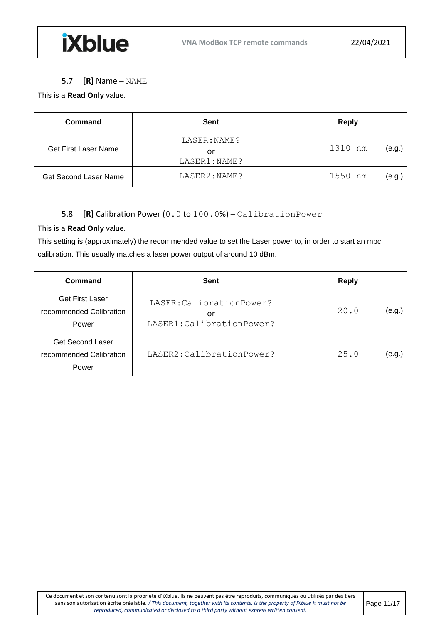#### 5.7 **[R]** Name – NAME

#### <span id="page-10-0"></span>This is a **Read Only** value.

| Command                     | Sent                               | <b>Reply</b>      |
|-----------------------------|------------------------------------|-------------------|
| <b>Get First Laser Name</b> | LASER: NAME?<br>or<br>LASER1:NAME? | 1310 nm<br>(e.g.) |
| Get Second Laser Name       | LASER2:NAME?                       | 1550 nm<br>(e.g., |

## 5.8 **[R]** Calibration Power (0.0 to 100.0%) – CalibrationPower

#### <span id="page-10-1"></span>This is a **Read Only** value.

This setting is (approximately) the recommended value to set the Laser power to, in order to start an mbc calibration. This usually matches a laser power output of around 10 dBm.

| Command                                                     | Sent                                                          | <b>Reply</b>   |
|-------------------------------------------------------------|---------------------------------------------------------------|----------------|
| <b>Get First Laser</b><br>recommended Calibration<br>Power  | LASER: Calibration Power?<br>or<br>LASER1: Calibration Power? | 20.0<br>(e.g.) |
| <b>Get Second Laser</b><br>recommended Calibration<br>Power | LASER2: Calibration Power?                                    | 25.0<br>(e.g.  |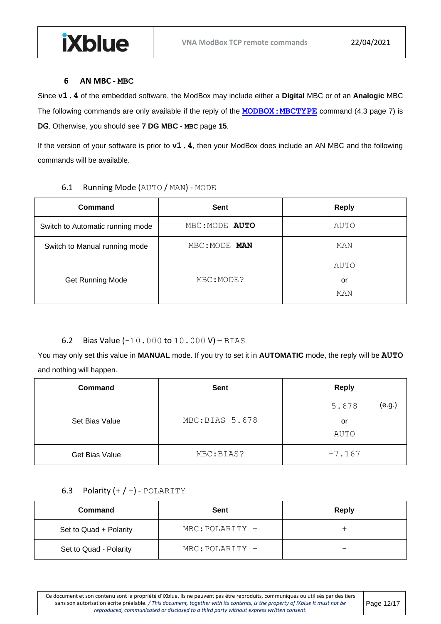#### **6 AN MBC - MBC**

**iXblue** 

<span id="page-11-0"></span>Since **v1.4** of the embedded software, the ModBox may include either a **Digital** MBC or of an **Analogic** MBC The following commands are only available if the reply of the **[MODBOX:MBCTYPE](#page-6-3)** command [\(4.3](#page-6-3) page [7\)](#page-6-3) is **DG**. Otherwise, you should see **[7](#page-14-0) [DG MBC -](#page-14-0) [MBC](#page-14-0)** page **[15](#page-14-0)**.

<span id="page-11-1"></span>If the version of your software is prior to **v1.4**, then your ModBox does include an AN MBC and the following commands will be available.

#### 6.1 Running Mode (AUTO / MAN) - MODE

| Command                          | Sent           | <b>Reply</b> |
|----------------------------------|----------------|--------------|
| Switch to Automatic running mode | MBC: MODE AUTO | AUTO         |
| Switch to Manual running mode    | MBC: MODE MAN  | MAN          |
|                                  |                | AUTO         |
| <b>Get Running Mode</b>          | MBC: MODE?     | or           |
|                                  |                | MAN          |

### <span id="page-11-2"></span>6.2 Bias Value  $(-10.000 \text{ to } 10.000 \text{ V}) - \text{BIAS}$

You may only set this value in **MANUAL** mode. If you try to set it in **AUTOMATIC** mode, the reply will be **AUTO** and nothing will happen.

| <b>Command</b> | <b>Sent</b>    | <b>Reply</b>    |
|----------------|----------------|-----------------|
|                |                | (e.g.)<br>5.678 |
| Set Bias Value | MBC:BIAS 5.678 | or              |
|                |                | <b>AUTO</b>     |
| Get Bias Value | MBC:BIAS?      | $-7.167$        |

## <span id="page-11-3"></span>6.3 Polarity  $(+ / -)$  - POLARITY

| Command                | Sent            | <b>Reply</b> |
|------------------------|-----------------|--------------|
| Set to Quad + Polarity | MBC: POLARITY + |              |
| Set to Quad - Polarity | MBC: POLARITY - | -            |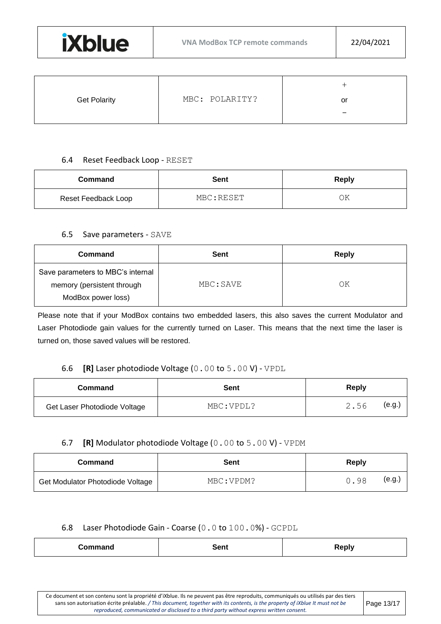

| <b>Get Polarity</b> | MBC: POLARITY? | or |
|---------------------|----------------|----|
|                     |                | -  |

#### 6.4 Reset Feedback Loop - RESET

<span id="page-12-0"></span>

| Command             | <b>Sent</b> | <b>Reply</b> |
|---------------------|-------------|--------------|
| Reset Feedback Loop | MBC:RESET   | ОK           |

#### 6.5 Save parameters - SAVE

<span id="page-12-1"></span>

| Command                           | Sent      | Reply |
|-----------------------------------|-----------|-------|
| Save parameters to MBC's internal |           |       |
| memory (persistent through        | MBC: SAVE | ΟK    |
| ModBox power loss)                |           |       |

Please note that if your ModBox contains two embedded lasers, this also saves the current Modulator and Laser Photodiode gain values for the currently turned on Laser. This means that the next time the laser is turned on, those saved values will be restored.

## 6.6 **[R]** Laser photodiode Voltage (0.00 to 5.00 V) - VPDL

<span id="page-12-2"></span>

| Command                      | Sent       | Reply          |
|------------------------------|------------|----------------|
| Get Laser Photodiode Voltage | MBC: VPDL? | (e.g.,<br>2.56 |

#### 6.7 **[R]** Modulator photodiode Voltage (0.00 to 5.00 V) - VPDM

<span id="page-12-3"></span>

| Command                          | Sent       | Reply          |
|----------------------------------|------------|----------------|
| Get Modulator Photodiode Voltage | MBC: VPDM? | (e.g.,<br>0.98 |

#### <span id="page-12-4"></span>6.8 Laser Photodiode Gain - Coarse (0.0 to 100.0%) - GCPDL

| Command<br>$\sim$ $\sim$ $\sim$ $\sim$ $\sim$ $\sim$ | Sent | <b>Reply</b> |
|------------------------------------------------------|------|--------------|
|------------------------------------------------------|------|--------------|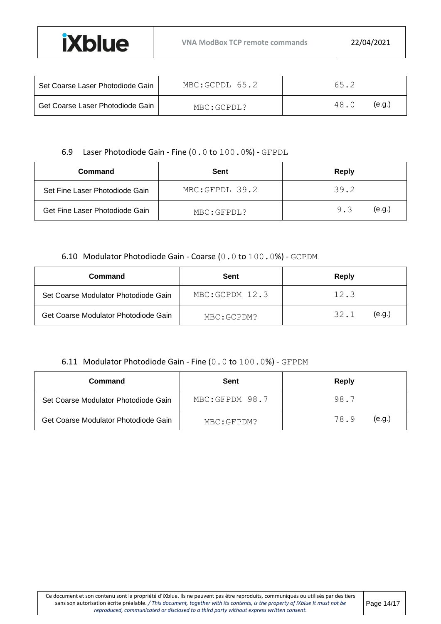| Set Coarse Laser Photodiode Gain | MBC:GCPDL 65.2 | 65.2           |
|----------------------------------|----------------|----------------|
| Get Coarse Laser Photodiode Gain | MBC: GCPDL?    | (e.a.)<br>48.0 |

#### 6.9 Laser Photodiode Gain - Fine (0.0 to 100.0%) - GFPDL

<span id="page-13-0"></span>

| Command                        | Sent           | <b>Reply</b>  |
|--------------------------------|----------------|---------------|
| Set Fine Laser Photodiode Gain | MBC:GFPDL 39.2 | 39.2          |
| Get Fine Laser Photodiode Gain | MBC: GFPDL?    | (e.q.)<br>9.3 |

#### 6.10 Modulator Photodiode Gain - Coarse (0.0 to 100.0%) - GCPDM

<span id="page-13-1"></span>

| Command                              | Sent           | Reply          |
|--------------------------------------|----------------|----------------|
| Set Coarse Modulator Photodiode Gain | MRC:GCPDM 12.3 | 12.3           |
| Get Coarse Modulator Photodiode Gain | MBC:GCPDM?     | (e.g.)<br>32.1 |

#### 6.11 Modulator Photodiode Gain - Fine (0.0 to 100.0%) - GFPDM

<span id="page-13-2"></span>

| Command                              | Sent           | Reply          |
|--------------------------------------|----------------|----------------|
| Set Coarse Modulator Photodiode Gain | MBC:GFPDM 98.7 | 98.7           |
| Get Coarse Modulator Photodiode Gain | MBC:GFPDM?     | (e.q.)<br>78.9 |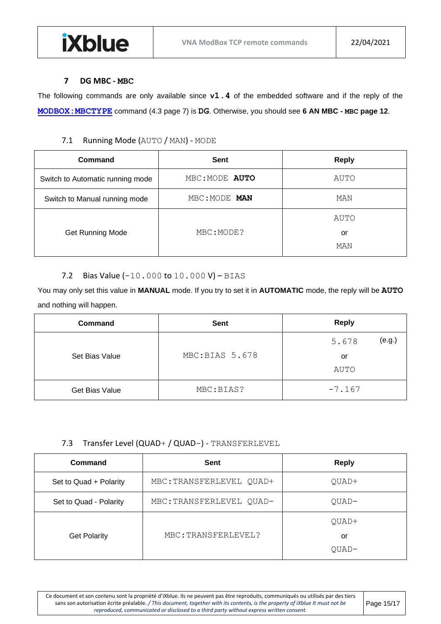#### **7 DG MBC - MBC**

<span id="page-14-0"></span>The following commands are only available since **v1.4** of the embedded software and if the reply of the **[MODBOX:MBCTYPE](#page-6-3)** command [\(4.3](#page-6-3) page [7\)](#page-6-3) is **DG**. Otherwise, you should see **[6](#page-11-0) [AN MBC -](#page-11-0) [MBC](#page-11-0) page [12](#page-11-0)**.

## 7.1 Running Mode (AUTO / MAN) - MODE

<span id="page-14-1"></span>

| Command                          | Sent           | <b>Reply</b>      |
|----------------------------------|----------------|-------------------|
| Switch to Automatic running mode | MBC: MODE AUTO | AUTO              |
| Switch to Manual running mode    | MBC: MODE MAN  | MAN               |
| <b>Get Running Mode</b>          | MBC: MODE?     | AUTO<br>or<br>MAN |

#### 7.2 Bias Value  $(-10.000 \text{ to } 10.000 \text{ V}) - \text{BIAS}$

<span id="page-14-2"></span>You may only set this value in **MANUAL** mode. If you try to set it in **AUTOMATIC** mode, the reply will be **AUTO** and nothing will happen.

| <b>Command</b> | <b>Sent</b>    | <b>Reply</b>    |
|----------------|----------------|-----------------|
|                |                | (e.g.)<br>5.678 |
| Set Bias Value | MBC:BIAS 5.678 | or              |
|                |                | <b>AUTO</b>     |
| Get Bias Value | MBC:BIAS?      | $-7.167$        |

#### 7.3 Transfer Level (QUAD+ / QUAD-) - TRANSFERLEVEL

<span id="page-14-3"></span>

| Command                | <b>Sent</b>              | <b>Reply</b> |
|------------------------|--------------------------|--------------|
| Set to Quad + Polarity | MBC: TRANSFERLEVEL QUAD+ | QUAD+        |
| Set to Quad - Polarity | MBC: TRANSFERLEVEL QUAD- | QUAD-        |
|                        |                          | QUAD+        |
| <b>Get Polarity</b>    | MBC: TRANSFERLEVEL?      | or           |
|                        |                          | $QUAD-$      |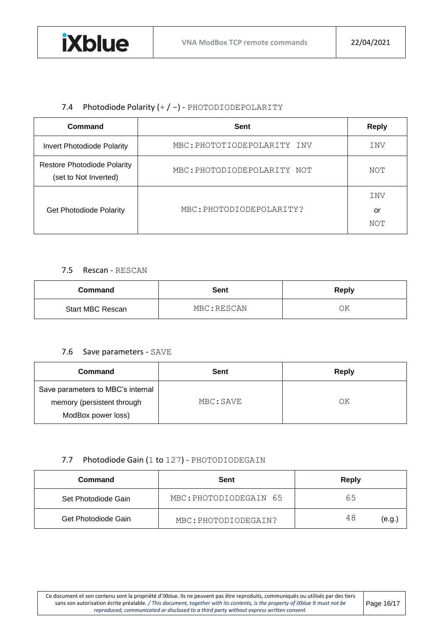## 7.4 Photodiode Polarity  $(+/-)$  - PHOTODIODEPOLARITY

<span id="page-15-0"></span>

| Command                                                     | <b>Sent</b>                 | <b>Reply</b>     |
|-------------------------------------------------------------|-----------------------------|------------------|
| <b>Invert Photodiode Polarity</b>                           | MBC: PHOTOTIODEPOLARITY INV | INV              |
| <b>Restore Photodiode Polarity</b><br>(set to Not Inverted) | MBC: PHOTODIODEPOLARITY NOT | NOT              |
| <b>Get Photodiode Polarity</b>                              | MBC: PHOTODIODEPOLARITY?    | INV<br>or<br>NOT |

#### 7.5 Rescan - RESCAN

<span id="page-15-1"></span>

| Command                 | <b>Sent</b> | <b>Reply</b> |
|-------------------------|-------------|--------------|
| <b>Start MBC Rescan</b> | MBC:RESCAN  | ОK           |

#### 7.6 Save parameters - SAVE

<span id="page-15-2"></span>

| Command                                                                               | Sent      | Reply |
|---------------------------------------------------------------------------------------|-----------|-------|
| Save parameters to MBC's internal<br>memory (persistent through<br>ModBox power loss) | MBC: SAVE | ΟK    |

## 7.7 Photodiode Gain (1 to 127) - PHOTODIODEGAIN

<span id="page-15-3"></span>

| Command             | Sent                   | Reply       |
|---------------------|------------------------|-------------|
| Set Photodiode Gain | MBC: PHOTODIODEGAIN 65 | 65          |
| Get Photodiode Gain | MBC: PHOTODIODEGAIN?   | 48<br>(e.g. |